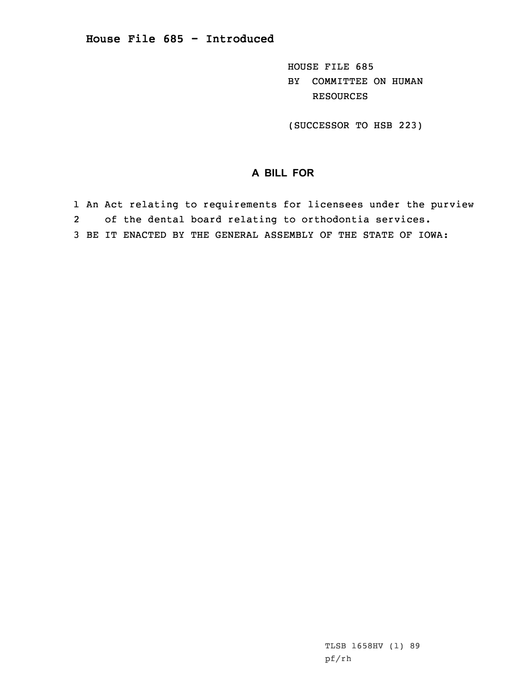HOUSE FILE 685 BY COMMITTEE ON HUMAN RESOURCES

(SUCCESSOR TO HSB 223)

## **A BILL FOR**

- 1 An Act relating to requirements for licensees under the purview 2of the dental board relating to orthodontia services.
- 3 BE IT ENACTED BY THE GENERAL ASSEMBLY OF THE STATE OF IOWA: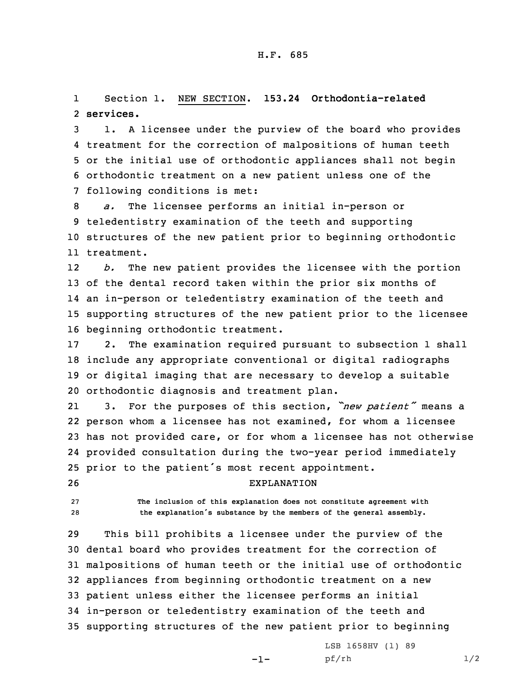1 Section 1. NEW SECTION. **153.24 Orthodontia-related** 2 **services.**

 1. <sup>A</sup> licensee under the purview of the board who provides treatment for the correction of malpositions of human teeth or the initial use of orthodontic appliances shall not begin orthodontic treatment on <sup>a</sup> new patient unless one of the following conditions is met:

 *a.* The licensee performs an initial in-person or teledentistry examination of the teeth and supporting structures of the new patient prior to beginning orthodontic treatment.

12 *b.* The new patient provides the licensee with the portion of the dental record taken within the prior six months of an in-person or teledentistry examination of the teeth and supporting structures of the new patient prior to the licensee beginning orthodontic treatment.

 2. The examination required pursuant to subsection 1 shall include any appropriate conventional or digital radiographs or digital imaging that are necessary to develop <sup>a</sup> suitable orthodontic diagnosis and treatment plan.

21 3. For the purposes of this section, *"new patient"* means <sup>a</sup> person whom <sup>a</sup> licensee has not examined, for whom <sup>a</sup> licensee has not provided care, or for whom <sup>a</sup> licensee has not otherwise provided consultation during the two-year period immediately prior to the patient's most recent appointment.

26 EXPLANATION

27 **The inclusion of this explanation does not constitute agreement with** <sup>28</sup> **the explanation's substance by the members of the general assembly.**

 This bill prohibits <sup>a</sup> licensee under the purview of the dental board who provides treatment for the correction of malpositions of human teeth or the initial use of orthodontic appliances from beginning orthodontic treatment on <sup>a</sup> new patient unless either the licensee performs an initial in-person or teledentistry examination of the teeth and supporting structures of the new patient prior to beginning

-1-

LSB 1658HV (1) 89 pf/rh 1/2